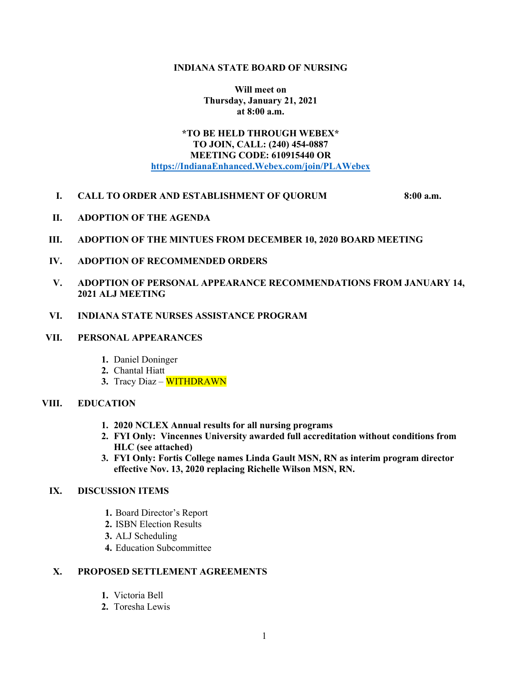#### **INDIANA STATE BOARD OF NURSING**

**Will meet on Thursday, January 21, 2021 at 8:00 a.m.**

# **\*TO BE HELD THROUGH WEBEX\* TO JOIN, CALL: (240) 454-0887 MEETING CODE: 610915440 OR https://IndianaEnhanced.Webex.com/join/PLAWebex**

### **I. CALL TO ORDER AND ESTABLISHMENT OF QUORUM 8:00 a.m.**

- **II. ADOPTION OF THE AGENDA**
- **III. ADOPTION OF THE MINTUES FROM DECEMBER 10, 2020 BOARD MEETING**
- **IV. ADOPTION OF RECOMMENDED ORDERS**
- **V. ADOPTION OF PERSONAL APPEARANCE RECOMMENDATIONS FROM JANUARY 14, 2021 ALJ MEETING**
- **VI. INDIANA STATE NURSES ASSISTANCE PROGRAM**
- **VII. PERSONAL APPEARANCES**
	- **1.** Daniel Doninger
	- **2.** Chantal Hiatt
	- **3.** Tracy Diaz WITHDRAWN

#### **VIII. EDUCATION**

- **1. 2020 NCLEX Annual results for all nursing programs**
- **2. FYI Only: Vincennes University awarded full accreditation without conditions from HLC (see attached)**
- **3. FYI Only: Fortis College names Linda Gault MSN, RN as interim program director effective Nov. 13, 2020 replacing Richelle Wilson MSN, RN.**

## **IX. DISCUSSION ITEMS**

- **1.** Board Director's Report
- **2.** ISBN Election Results
- **3.** ALJ Scheduling
- **4.** Education Subcommittee

### **X. PROPOSED SETTLEMENT AGREEMENTS**

- **1.** Victoria Bell
- **2.** Toresha Lewis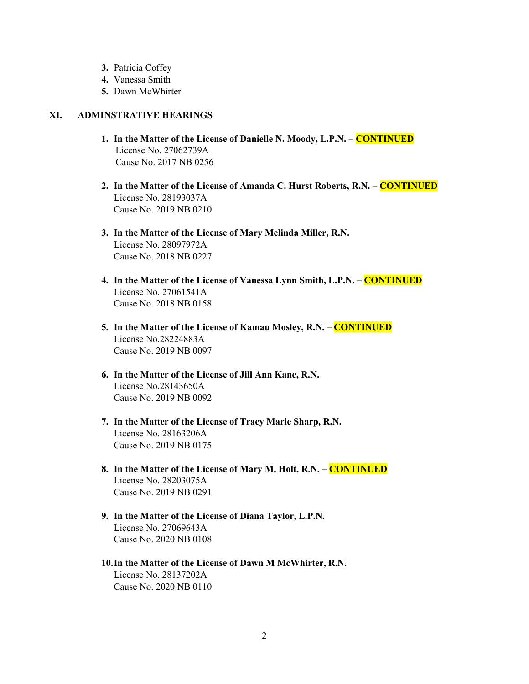- **3.** Patricia Coffey
- **4.** Vanessa Smith
- **5.** Dawn McWhirter

## **XI. ADMINSTRATIVE HEARINGS**

- **1. In the Matter of the License of Danielle N. Moody, L.P.N. – CONTINUED** License No. 27062739A Cause No. 2017 NB 0256
- **2. In the Matter of the License of Amanda C. Hurst Roberts, R.N. – CONTINUED** License No. 28193037A Cause No. 2019 NB 0210
- **3. In the Matter of the License of Mary Melinda Miller, R.N.**  License No. 28097972A Cause No. 2018 NB 0227
- **4. In the Matter of the License of Vanessa Lynn Smith, L.P.N. – CONTINUED** License No. 27061541A Cause No. 2018 NB 0158
- **5. In the Matter of the License of Kamau Mosley, R.N. – CONTINUED** License No.28224883A Cause No. 2019 NB 0097
- **6. In the Matter of the License of Jill Ann Kane, R.N.** License No.28143650A Cause No. 2019 NB 0092
- **7. In the Matter of the License of Tracy Marie Sharp, R.N.** License No. 28163206A Cause No. 2019 NB 0175
- **8. In the Matter of the License of Mary M. Holt, R.N. – CONTINUED** License No. 28203075A Cause No. 2019 NB 0291
- **9. In the Matter of the License of Diana Taylor, L.P.N.**  License No. 27069643A Cause No. 2020 NB 0108
- **10.In the Matter of the License of Dawn M McWhirter, R.N.** License No. 28137202A Cause No. 2020 NB 0110